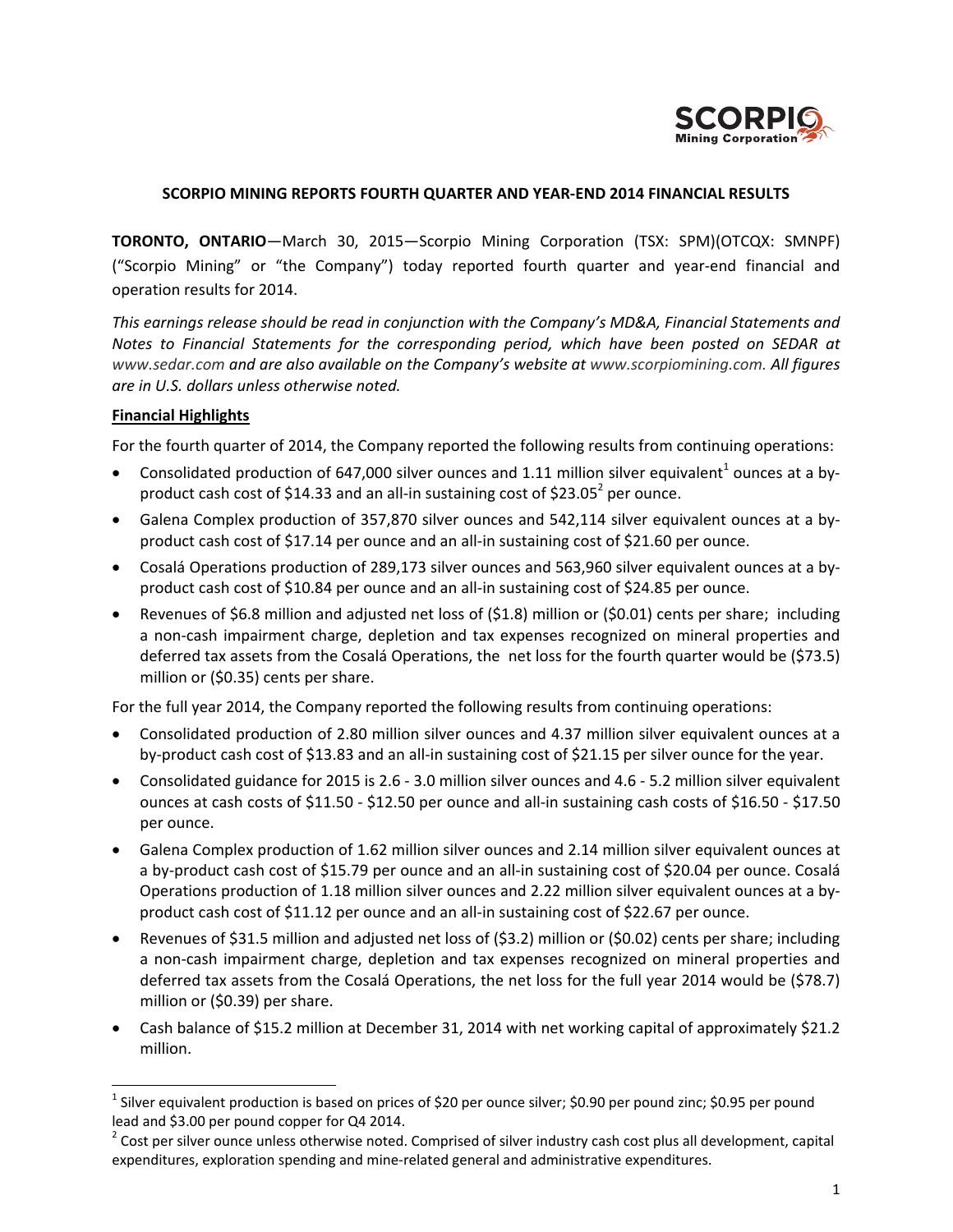

## **SCORPIO MINING REPORTS FOURTH QUARTER AND YEAR‐END 2014 FINANCIAL RESULTS**

**TORONTO, ONTARIO**—March 30, 2015—Scorpio Mining Corporation (TSX: SPM)(OTCQX: SMNPF) ("Scorpio Mining" or "the Company") today reported fourth quarter and year‐end financial and operation results for 2014.

*This earnings release should be read in conjunction with the Company's MD&A, Financial Statements and Notes to Financial Statements for the corresponding period, which have been posted on SEDAR at www.sedar.com and are also available on the Company's website at www.scorpiomining.com. All figures are in U.S. dollars unless otherwise noted.*

#### **Financial Highlights**

For the fourth quarter of 2014, the Company reported the following results from continuing operations:

- Consolidated production of 647,000 silver ounces and 1.11 million silver equivalent<sup>1</sup> ounces at a byproduct cash cost of \$14.33 and an all-in sustaining cost of \$23.05 $^2$  per ounce.
- Galena Complex production of 357,870 silver ounces and 542,114 silver equivalent ounces at a byproduct cash cost of \$17.14 per ounce and an all‐in sustaining cost of \$21.60 per ounce.
- Cosalá Operations production of 289,173 silver ounces and 563,960 silver equivalent ounces at a by‐ product cash cost of \$10.84 per ounce and an all‐in sustaining cost of \$24.85 per ounce.
- Revenues of \$6.8 million and adjusted net loss of (\$1.8) million or (\$0.01) cents per share; including a non‐cash impairment charge, depletion and tax expenses recognized on mineral properties and deferred tax assets from the Cosalá Operations, the net loss for the fourth quarter would be (\$73.5) million or (\$0.35) cents per share.

For the full year 2014, the Company reported the following results from continuing operations:

- Consolidated production of 2.80 million silver ounces and 4.37 million silver equivalent ounces at a by-product cash cost of \$13.83 and an all-in sustaining cost of \$21.15 per silver ounce for the year.
- Consolidated guidance for 2015 is 2.6 ‐ 3.0 million silver ounces and 4.6 ‐ 5.2 million silver equivalent ounces at cash costs of \$11.50 - \$12.50 per ounce and all-in sustaining cash costs of \$16.50 - \$17.50 per ounce.
- Galena Complex production of 1.62 million silver ounces and 2.14 million silver equivalent ounces at a by-product cash cost of \$15.79 per ounce and an all-in sustaining cost of \$20.04 per ounce. Cosalá Operations production of 1.18 million silver ounces and 2.22 million silver equivalent ounces at a by‐ product cash cost of \$11.12 per ounce and an all‐in sustaining cost of \$22.67 per ounce.
- Revenues of \$31.5 million and adjusted net loss of (\$3.2) million or (\$0.02) cents per share; including a non‐cash impairment charge, depletion and tax expenses recognized on mineral properties and deferred tax assets from the Cosalá Operations, the net loss for the full year 2014 would be (\$78.7) million or (\$0.39) per share.
- Cash balance of \$15.2 million at December 31, 2014 with net working capital of approximately \$21.2 million.

<sup>&</sup>lt;sup>1</sup> Silver equivalent production is based on prices of \$20 per ounce silver; \$0.90 per pound zinc; \$0.95 per pound lead and \$3.00 per pound copper for Q4 2014.<br><sup>2</sup> Cost per silver ounce unless otherwise noted. Comprised of silver industry cash cost plus all development, capital

expenditures, exploration spending and mine-related general and administrative expenditures.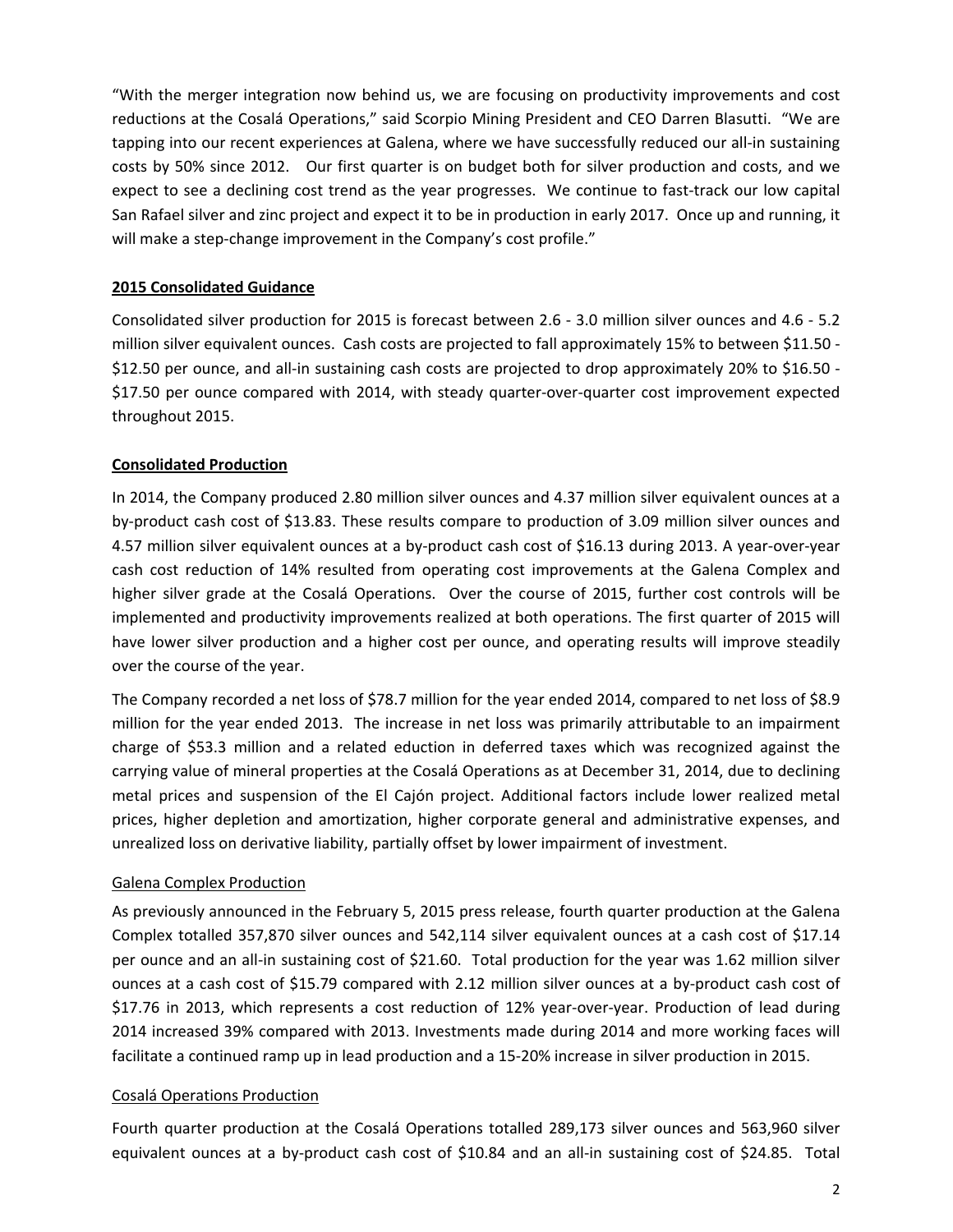"With the merger integration now behind us, we are focusing on productivity improvements and cost reductions at the Cosalá Operations," said Scorpio Mining President and CEO Darren Blasutti. "We are tapping into our recent experiences at Galena, where we have successfully reduced our all-in sustaining costs by 50% since 2012. Our first quarter is on budget both for silver production and costs, and we expect to see a declining cost trend as the year progresses. We continue to fast-track our low capital San Rafael silver and zinc project and expect it to be in production in early 2017. Once up and running, it will make a step-change improvement in the Company's cost profile."

# **2015 Consolidated Guidance**

Consolidated silver production for 2015 is forecast between 2.6 ‐ 3.0 million silver ounces and 4.6 ‐ 5.2 million silver equivalent ounces. Cash costs are projected to fall approximately 15% to between \$11.50 -\$12.50 per ounce, and all-in sustaining cash costs are projected to drop approximately 20% to \$16.50 -\$17.50 per ounce compared with 2014, with steady quarter‐over‐quarter cost improvement expected throughout 2015.

# **Consolidated Production**

In 2014, the Company produced 2.80 million silver ounces and 4.37 million silver equivalent ounces at a by‐product cash cost of \$13.83. These results compare to production of 3.09 million silver ounces and 4.57 million silver equivalent ounces at a by‐product cash cost of \$16.13 during 2013. A year‐over‐year cash cost reduction of 14% resulted from operating cost improvements at the Galena Complex and higher silver grade at the Cosalá Operations. Over the course of 2015, further cost controls will be implemented and productivity improvements realized at both operations. The first quarter of 2015 will have lower silver production and a higher cost per ounce, and operating results will improve steadily over the course of the year.

The Company recorded a net loss of \$78.7 million for the year ended 2014, compared to net loss of \$8.9 million for the year ended 2013. The increase in net loss was primarily attributable to an impairment charge of \$53.3 million and a related eduction in deferred taxes which was recognized against the carrying value of mineral properties at the Cosalá Operations as at December 31, 2014, due to declining metal prices and suspension of the El Cajón project. Additional factors include lower realized metal prices, higher depletion and amortization, higher corporate general and administrative expenses, and unrealized loss on derivative liability, partially offset by lower impairment of investment.

## Galena Complex Production

As previously announced in the February 5, 2015 press release, fourth quarter production at the Galena Complex totalled 357,870 silver ounces and 542,114 silver equivalent ounces at a cash cost of \$17.14 per ounce and an all-in sustaining cost of \$21.60. Total production for the year was 1.62 million silver ounces at a cash cost of \$15.79 compared with 2.12 million silver ounces at a by‐product cash cost of \$17.76 in 2013, which represents a cost reduction of 12% year-over-year. Production of lead during 2014 increased 39% compared with 2013. Investments made during 2014 and more working faces will facilitate a continued ramp up in lead production and a 15‐20% increase in silver production in 2015.

## Cosalá Operations Production

Fourth quarter production at the Cosalá Operations totalled 289,173 silver ounces and 563,960 silver equivalent ounces at a by-product cash cost of \$10.84 and an all-in sustaining cost of \$24.85. Total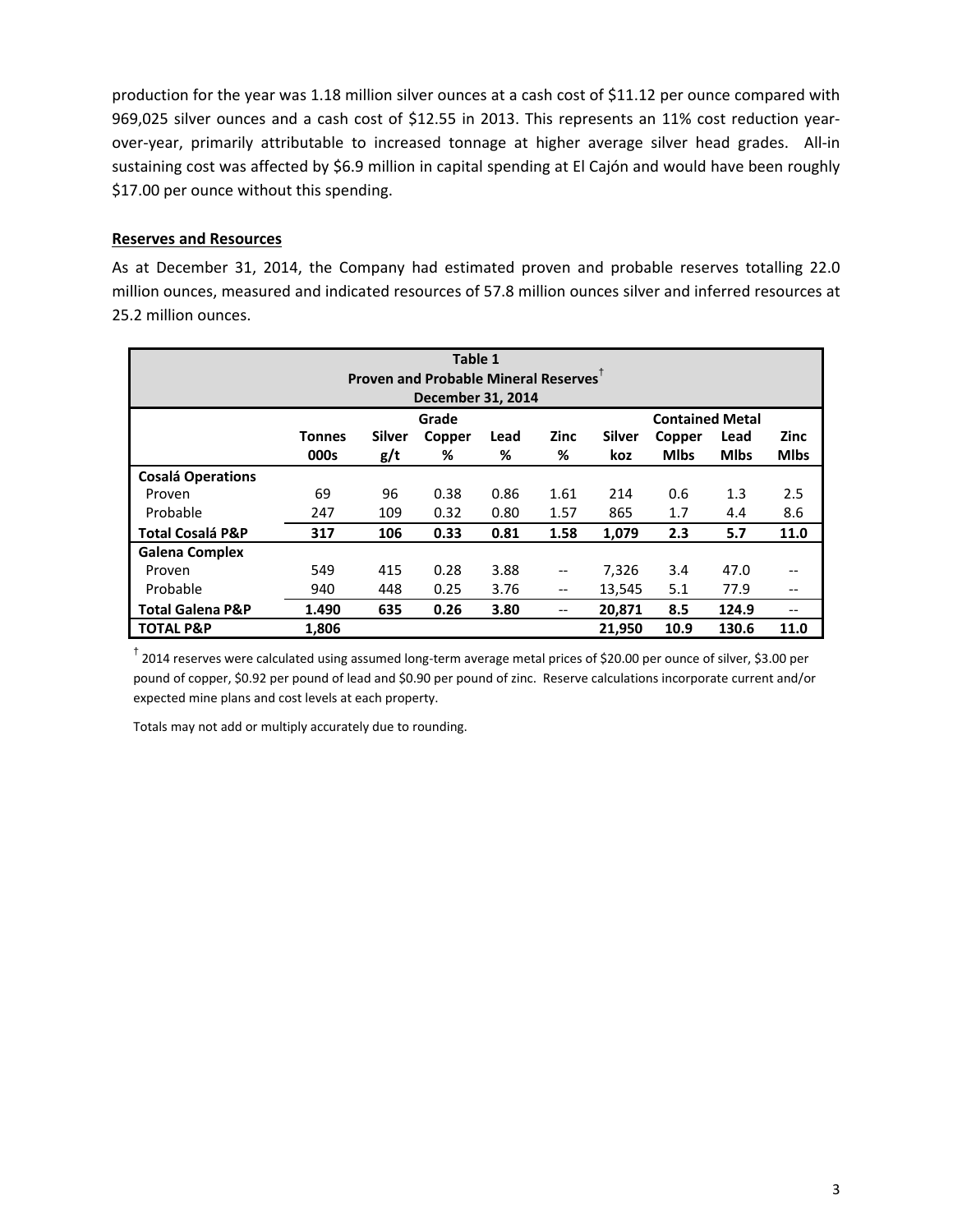production for the year was 1.18 million silver ounces at a cash cost of \$11.12 per ounce compared with 969,025 silver ounces and a cash cost of \$12.55 in 2013. This represents an 11% cost reduction yearover-year, primarily attributable to increased tonnage at higher average silver head grades. All-in sustaining cost was affected by \$6.9 million in capital spending at El Cajón and would have been roughly \$17.00 per ounce without this spending.

## **Reserves and Resources**

As at December 31, 2014, the Company had estimated proven and probable reserves totalling 22.0 million ounces, measured and indicated resources of 57.8 million ounces silver and inferred resources at 25.2 million ounces.

| Table 1<br>Proven and Probable Mineral Reserves <sup>T</sup><br>December 31, 2014 |                                 |               |        |      |                   |               |             |             |             |
|-----------------------------------------------------------------------------------|---------------------------------|---------------|--------|------|-------------------|---------------|-------------|-------------|-------------|
|                                                                                   | <b>Contained Metal</b><br>Grade |               |        |      |                   |               |             |             |             |
|                                                                                   | Tonnes                          | <b>Silver</b> | Copper | Lead | Zinc              | <b>Silver</b> | Copper      | Lead        | Zinc        |
|                                                                                   | 000s                            | g/t           | ℅      | ℅    | %                 | koz           | <b>Mlbs</b> | <b>Mlbs</b> | <b>Mlbs</b> |
| <b>Cosalá Operations</b>                                                          |                                 |               |        |      |                   |               |             |             |             |
| Proven                                                                            | 69                              | 96            | 0.38   | 0.86 | 1.61              | 214           | 0.6         | 1.3         | 2.5         |
| Probable                                                                          | 247                             | 109           | 0.32   | 0.80 | 1.57              | 865           | 1.7         | 4.4         | 8.6         |
| <b>Total Cosalá P&amp;P</b>                                                       | 317                             | 106           | 0.33   | 0.81 | 1.58              | 1.079         | 2.3         | 5.7         | 11.0        |
| <b>Galena Complex</b>                                                             |                                 |               |        |      |                   |               |             |             |             |
| Proven                                                                            | 549                             | 415           | 0.28   | 3.88 | $\qquad \qquad -$ | 7,326         | 3.4         | 47.0        |             |
| Probable                                                                          | 940                             | 448           | 0.25   | 3.76 | --                | 13.545        | 5.1         | 77.9        |             |
| <b>Total Galena P&amp;P</b>                                                       | 1.490                           | 635           | 0.26   | 3.80 | $-\,-$            | 20,871        | 8.5         | 124.9       | --          |
| <b>TOTAL P&amp;P</b>                                                              | 1,806                           |               |        |      |                   | 21,950        | 10.9        | 130.6       | 11.0        |

† 2014 reserves were calculated using assumed long‐term average metal prices of \$20.00 per ounce of silver, \$3.00 per pound of copper, \$0.92 per pound of lead and \$0.90 per pound of zinc. Reserve calculations incorporate current and/or expected mine plans and cost levels at each property.

Totals may not add or multiply accurately due to rounding.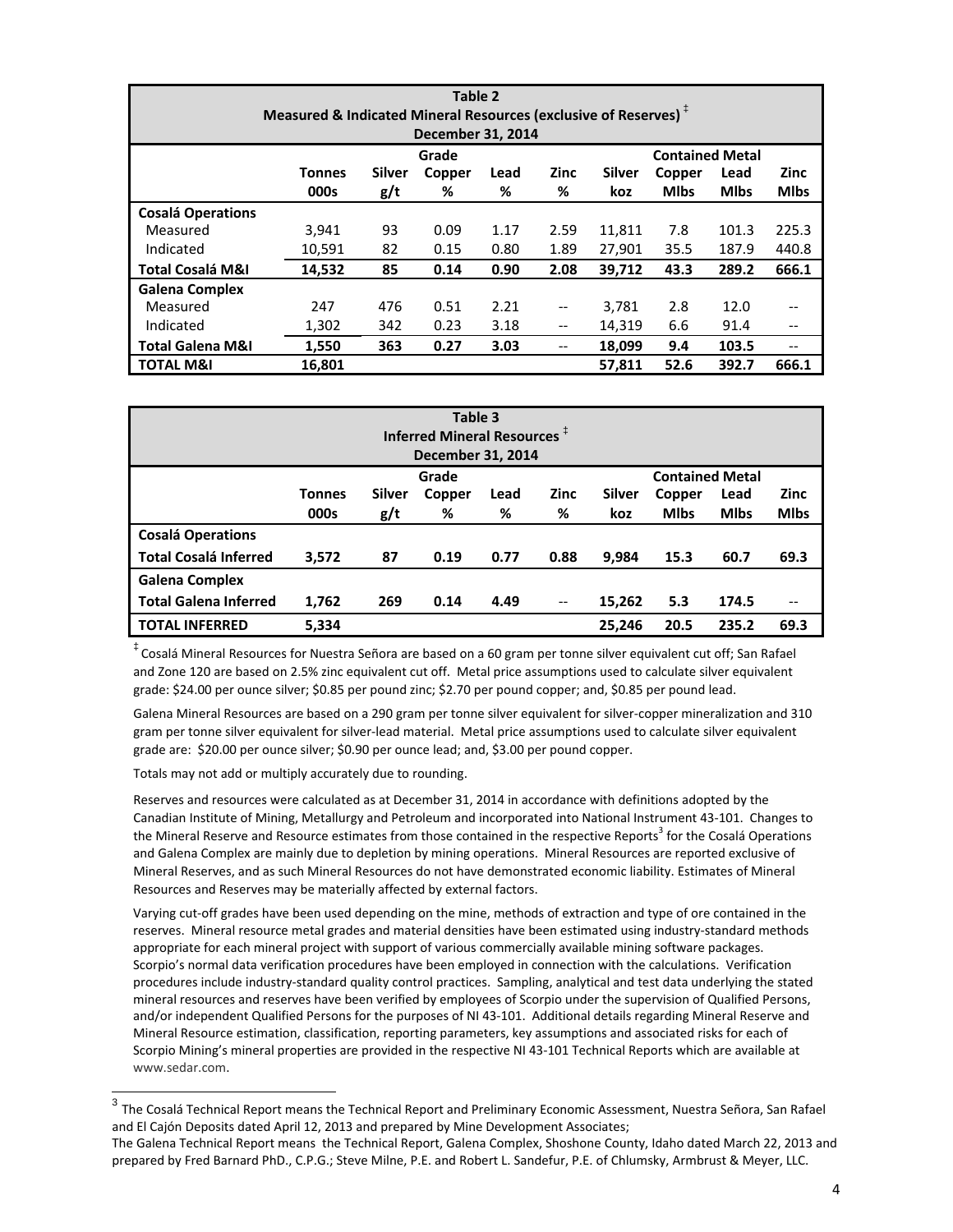| Table 2                                                                     |        |               |        |      |                          |               |                        |             |             |  |
|-----------------------------------------------------------------------------|--------|---------------|--------|------|--------------------------|---------------|------------------------|-------------|-------------|--|
| Measured & Indicated Mineral Resources (exclusive of Reserves) <sup>†</sup> |        |               |        |      |                          |               |                        |             |             |  |
| December 31, 2014                                                           |        |               |        |      |                          |               |                        |             |             |  |
|                                                                             | Grade  |               |        |      |                          |               | <b>Contained Metal</b> |             |             |  |
|                                                                             | Tonnes | <b>Silver</b> | Copper | Lead | <b>Zinc</b>              | <b>Silver</b> | Copper                 | Lead        | <b>Zinc</b> |  |
|                                                                             | 000s   | g/t           | %      | %    | ℅                        | koz           | <b>Mlbs</b>            | <b>Mlbs</b> | <b>Mlbs</b> |  |
| <b>Cosalá Operations</b>                                                    |        |               |        |      |                          |               |                        |             |             |  |
| Measured                                                                    | 3,941  | 93            | 0.09   | 1.17 | 2.59                     | 11.811        | 7.8                    | 101.3       | 225.3       |  |
| Indicated                                                                   | 10,591 | 82            | 0.15   | 0.80 | 1.89                     | 27,901        | 35.5                   | 187.9       | 440.8       |  |
| <b>Total Cosalá M&amp;I</b>                                                 | 14.532 | 85            | 0.14   | 0.90 | 2.08                     | 39.712        | 43.3                   | 289.2       | 666.1       |  |
| <b>Galena Complex</b>                                                       |        |               |        |      |                          |               |                        |             |             |  |
| Measured                                                                    | 247    | 476           | 0.51   | 2.21 | $\overline{\phantom{m}}$ | 3,781         | 2.8                    | 12.0        |             |  |
| Indicated                                                                   | 1,302  | 342           | 0.23   | 3.18 | $\overline{\phantom{a}}$ | 14.319        | 6.6                    | 91.4        |             |  |
| <b>Total Galena M&amp;I</b>                                                 | 1,550  | 363           | 0.27   | 3.03 | $\overline{\phantom{m}}$ | 18,099        | 9.4                    | 103.5       | --          |  |
| <b>TOTAL M&amp;I</b>                                                        | 16.801 |               |        |      |                          | 57.811        | 52.6                   | 392.7       | 666.1       |  |

| Table 3<br>Inferred Mineral Resources <sup>‡</sup><br>December 31, 2014 |               |               |        |      |                   |                        |             |             |             |
|-------------------------------------------------------------------------|---------------|---------------|--------|------|-------------------|------------------------|-------------|-------------|-------------|
|                                                                         | Grade         |               |        |      |                   | <b>Contained Metal</b> |             |             |             |
|                                                                         | <b>Tonnes</b> | <b>Silver</b> | Copper | Lead | <b>Zinc</b>       | <b>Silver</b>          | Copper      | Lead        | <b>Zinc</b> |
|                                                                         | 000s          | g/t           | %      | %    | %                 | koz                    | <b>Mlbs</b> | <b>Mlbs</b> | <b>Mlbs</b> |
| <b>Cosalá Operations</b>                                                |               |               |        |      |                   |                        |             |             |             |
| <b>Total Cosalá Inferred</b>                                            | 3,572         | 87            | 0.19   | 0.77 | 0.88              | 9.984                  | 15.3        | 60.7        | 69.3        |
| Galena Complex                                                          |               |               |        |      |                   |                        |             |             |             |
| <b>Total Galena Inferred</b>                                            | 1,762         | 269           | 0.14   | 4.49 | $\qquad \qquad -$ | 15,262                 | 5.3         | 174.5       | --          |
| <b>TOTAL INFERRED</b>                                                   | 5,334         |               |        |      |                   | 25.246                 | 20.5        | 235.2       | 69.3        |

‡ Cosalá Mineral Resources for Nuestra Señora are based on a 60 gram per tonne silver equivalent cut off; San Rafael and Zone 120 are based on 2.5% zinc equivalent cut off. Metal price assumptions used to calculate silver equivalent grade: \$24.00 per ounce silver; \$0.85 per pound zinc; \$2.70 per pound copper; and, \$0.85 per pound lead.

Galena Mineral Resources are based on a 290 gram per tonne silver equivalent for silver‐copper mineralization and 310 gram per tonne silver equivalent for silver-lead material. Metal price assumptions used to calculate silver equivalent grade are: \$20.00 per ounce silver; \$0.90 per ounce lead; and, \$3.00 per pound copper.

Totals may not add or multiply accurately due to rounding.

Reserves and resources were calculated as at December 31, 2014 in accordance with definitions adopted by the Canadian Institute of Mining, Metallurgy and Petroleum and incorporated into National Instrument 43‐101. Changes to the Mineral Reserve and Resource estimates from those contained in the respective Reports<sup>3</sup> for the Cosalá Operations and Galena Complex are mainly due to depletion by mining operations. Mineral Resources are reported exclusive of Mineral Reserves, and as such Mineral Resources do not have demonstrated economic liability. Estimates of Mineral Resources and Reserves may be materially affected by external factors.

Varying cut-off grades have been used depending on the mine, methods of extraction and type of ore contained in the reserves. Mineral resource metal grades and material densities have been estimated using industry‐standard methods appropriate for each mineral project with support of various commercially available mining software packages. Scorpio's normal data verification procedures have been employed in connection with the calculations. Verification procedures include industry‐standard quality control practices. Sampling, analytical and test data underlying the stated mineral resources and reserves have been verified by employees of Scorpio under the supervision of Qualified Persons, and/or independent Qualified Persons for the purposes of NI 43-101. Additional details regarding Mineral Reserve and Mineral Resource estimation, classification, reporting parameters, key assumptions and associated risks for each of Scorpio Mining's mineral properties are provided in the respective NI 43-101 Technical Reports which are available at www.sedar.com.

 $^3$  The Cosalá Technical Report means the Technical Report and Preliminary Economic Assessment, Nuestra Señora, San Rafael and El Cajón Deposits dated April 12, 2013 and prepared by Mine Development Associates; The Galena Technical Report means the Technical Report, Galena Complex, Shoshone County, Idaho dated March 22, 2013 and

prepared by Fred Barnard PhD., C.P.G.; Steve Milne, P.E. and Robert L. Sandefur, P.E. of Chlumsky, Armbrust & Meyer, LLC.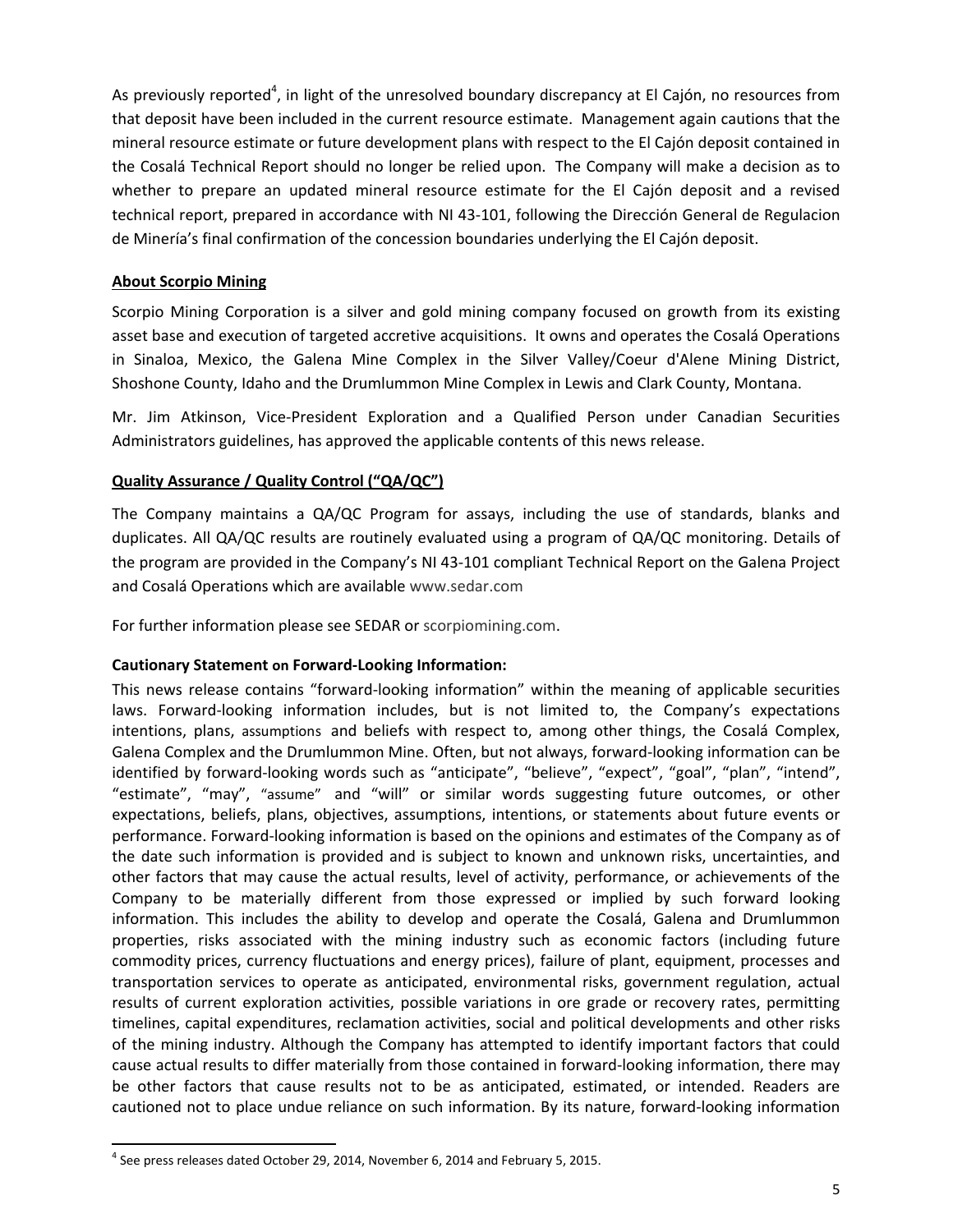As previously reported<sup>4</sup>, in light of the unresolved boundary discrepancy at El Cajón, no resources from that deposit have been included in the current resource estimate. Management again cautions that the mineral resource estimate or future development plans with respect to the El Cajón deposit contained in the Cosalá Technical Report should no longer be relied upon. The Company will make a decision as to whether to prepare an updated mineral resource estimate for the El Cajón deposit and a revised technical report, prepared in accordance with NI 43‐101, following the Dirección General de Regulacion de Minería's final confirmation of the concession boundaries underlying the El Cajón deposit.

# **About Scorpio Mining**

Scorpio Mining Corporation is a silver and gold mining company focused on growth from its existing asset base and execution of targeted accretive acquisitions. It owns and operates the Cosalá Operations in Sinaloa, Mexico, the Galena Mine Complex in the Silver Valley/Coeur d'Alene Mining District, Shoshone County, Idaho and the Drumlummon Mine Complex in Lewis and Clark County, Montana.

Mr. Jim Atkinson, Vice‐President Exploration and a Qualified Person under Canadian Securities Administrators guidelines, has approved the applicable contents of this news release.

# **Quality Assurance / Quality Control ("QA/QC")**

The Company maintains a QA/QC Program for assays, including the use of standards, blanks and duplicates. All QA/QC results are routinely evaluated using a program of QA/QC monitoring. Details of the program are provided in the Company's NI 43‐101 compliant Technical Report on the Galena Project and Cosalá Operations which are available www.sedar.com

For further information please see SEDAR or scorpiomining.com.

## **Cautionary Statement on Forward‐Looking Information:**

This news release contains "forward‐looking information" within the meaning of applicable securities laws. Forward‐looking information includes, but is not limited to, the Company's expectations intentions, plans, assumptions and beliefs with respect to, among other things, the Cosalá Complex, Galena Complex and the Drumlummon Mine. Often, but not always, forward‐looking information can be identified by forward-looking words such as "anticipate", "believe", "expect", "goal", "plan", "intend", "estimate", "may", "assume" and "will" or similar words suggesting future outcomes, or other expectations, beliefs, plans, objectives, assumptions, intentions, or statements about future events or performance. Forward‐looking information is based on the opinions and estimates of the Company as of the date such information is provided and is subject to known and unknown risks, uncertainties, and other factors that may cause the actual results, level of activity, performance, or achievements of the Company to be materially different from those expressed or implied by such forward looking information. This includes the ability to develop and operate the Cosalá, Galena and Drumlummon properties, risks associated with the mining industry such as economic factors (including future commodity prices, currency fluctuations and energy prices), failure of plant, equipment, processes and transportation services to operate as anticipated, environmental risks, government regulation, actual results of current exploration activities, possible variations in ore grade or recovery rates, permitting timelines, capital expenditures, reclamation activities, social and political developments and other risks of the mining industry. Although the Company has attempted to identify important factors that could cause actual results to differ materially from those contained in forward‐looking information, there may be other factors that cause results not to be as anticipated, estimated, or intended. Readers are cautioned not to place undue reliance on such information. By its nature, forward‐looking information

-

 $<sup>4</sup>$  See press releases dated October 29, 2014, November 6, 2014 and February 5, 2015.</sup>